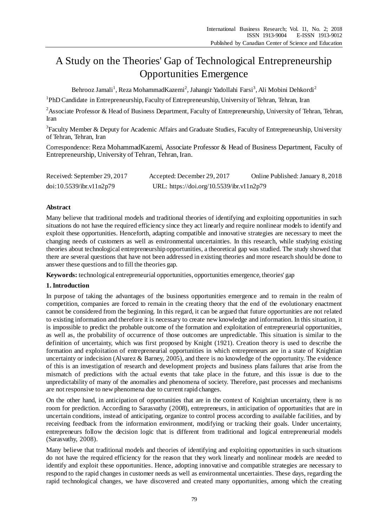# A Study on the Theories' Gap of Technological Entrepreneurship Opportunities Emergence

Behrooz Jamali<sup>1</sup>, Reza MohammadKazemi<sup>2</sup>, Jahangir Yadollahi Farsi<sup>3</sup>, Ali Mobini Dehkordi<sup>2</sup>

<sup>1</sup>PhD Candidate in Entrepreneurship, Faculty of Entrepreneurship, University of Tehran, Tehran, Iran

<sup>2</sup> Associate Professor & Head of Business Department, Faculty of Entrepreneurship, University of Tehran, Tehran, Iran

<sup>3</sup> Faculty Member & Deputy for Academic Affairs and Graduate Studies, Faculty of Entrepreneurship, University of Tehran, Tehran, Iran

Correspondence: Reza MohammadKazemi, Associate Professor & Head of Business Department, Faculty of Entrepreneurship, University of Tehran, Tehran, Iran.

| Received: September 29, 2017 | Accepted: December 29, 2017               | Online Published: January 8, 2018 |
|------------------------------|-------------------------------------------|-----------------------------------|
| doi:10.5539/ibr.v11n2p79     | URL: https://doi.org/10.5539/ibr.v11n2p79 |                                   |

# **Abstract**

Many believe that traditional models and traditional theories of identifying and exploiting opportunities in such situations do not have the required efficiency since they act linearly and require nonlinear models to identify and exploit these opportunities. Henceforth, adapting compatible and innovative strategies are necessary to meet the changing needs of customers as well as environmental uncertainties. In this research, while studying existing theories about technological entrepreneurship opportunities, a theoretical gap was studied. The study showed that there are several questions that have not been addressed in existing theories and more research should be done to answer these questions and to fill the theories gap.

**Keywords:** technological entrepreneurial opportunities, opportunities emergence, theories' gap

## **1. Introduction**

In purpose of taking the advantages of the business opportunities emergence and to remain in the realm of competition, companies are forced to remain in the creating theory that the end of the evolutionary enactment cannot be considered from the beginning. In this regard, it can be argued that future opportunities are not related to existing information and therefore it is necessary to create new knowledge and information. In this situation, it is impossible to predict the probable outcome of the formation and exploitation of entrepreneurial opportunities, as well as, the probability of occurrence of those outcomes are unpredictable. This situation is similar to the definition of uncertainty, which was first proposed by Knight (1921). Creation theory is used to describe the formation and exploitation of entrepreneurial opportunities in which entrepreneurs are in a state of Knightian uncertainty or indecision (Alvarez & Barney, 2005), and there is no knowledge of the opportunity. The evidence of this is an investigation of research and development projects and business plans failures that arise from the mismatch of predictions with the actual events that take place in the future, and this issue is due to the unpredictability of many of the anomalies and phenomena of society. Therefore, past processes and mechanisms are not responsive to new phenomena due to current rapid changes.

On the other hand, in anticipation of opportunities that are in the context of Knightian uncertainty, there is no room for prediction. According to Sarasvathy (2008), entrepreneurs, in anticipation of opportunities that are in uncertain conditions, instead of anticipating, organize to control process according to available facilities, and by receiving feedback from the information environment, modifying or tracking their goals. Under uncertainty, entrepreneurs follow the decision logic that is different from traditional and logical entrepreneurial models (Sarasvathy, 2008).

Many believe that traditional models and theories of identifying and exploiting opportunities in such situations do not have the required efficiency for the reason that they work linearly and nonlinear models are needed to identify and exploit these opportunities. Hence, adopting innovative and compatible strategies are necessary to respond to the rapid changes in customer needs as well as environmental uncertainties. These days, regarding the rapid technological changes, we have discovered and created many opportunities, among which the creating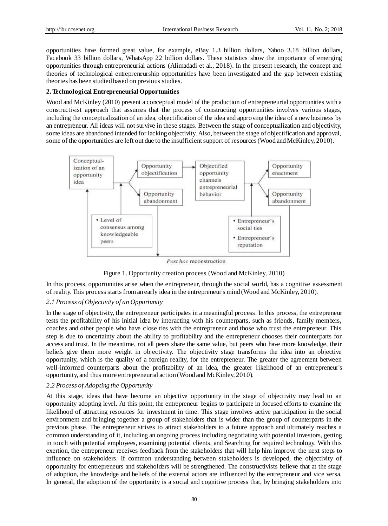opportunities have formed great value, for example, eBay 1.3 billion dollars, Yahoo 3.18 billion dollars, Facebook 33 billion dollars, WhatsApp 22 billion dollars. These statistics show the importance of emerging opportunities through entrepreneurial actions (Alimadadi et al., 2018). In the present research, the concept and theories of technological entrepreneurship opportunities have been investigated and the gap between existing theories has been studied based on previous studies.

# **2. Technological Entrepreneurial Opportunities**

Wood and McKinley (2010) present a conceptual model of the production of entrepreneurial opportunities with a constructivist approach that assumes that the process of constructing opportunities involves various stages, including the conceptualization of an idea, objectification of the idea and approving the idea of a new business by an entrepreneur. All ideas will not survive in these stages. Between the stage of conceptualization and objectivity, some ideas are abandoned intended for lacking objectivity. Also, between the stage of objectification and approval, some of the opportunities are left out due to the insufficient support of resources (Wood and McKinley, 2010).



Post hoc reconstruction

Figure 1. Opportunity creation process (Wood and McKinley, 2010)

In this process, opportunities arise when the entrepreneur, through the social world, has a cognitive assessment of reality. This process starts from an early idea in the entrepreneur's mind (Wood and McKinley, 2010).

## *2.1 Process of Objectivity of an Opportunity*

In the stage of objectivity, the entrepreneur participates in a meaningful process. In this process, the entrepreneur tests the profitability of his initial idea by interacting with his counterparts, such as friends, family members, coaches and other people who have close ties with the entrepreneur and those who trust the entrepreneur. This step is due to uncertainty about the ability to profitability and the entrepreneur chooses their counterparts for access and trust. In the meantime, not all peers share the same value, but peers who have more knowledge, their beliefs give them more weight in objectivity. The objectivity stage transforms the idea into an objective opportunity, which is the quality of a foreign reality, for the entrepreneur. The greater the agreement between well-informed counterparts about the profitability of an idea, the greater likelihood of an entrepreneur's opportunity, and thus more entrepreneurial action (Wood and McKinley, 2010).

## *2.2 Process of Adopting the Opportunity*

At this stage, ideas that have become an objective opportunity in the stage of objectivity may lead to an opportunity adopting level. At this point, the entrepreneur begins to participate in focused efforts to examine the likelihood of attracting resources for investment in time. This stage involves active participation in the social environment and bringing together a group of stakeholders that is wider than the group of counterparts in the previous phase. The entrepreneur strives to attract stakeholders to a future approach and ultimately reaches a common understanding of it, including an ongoing process including negotiating with potential investors, getting in touch with potential employees, examining potential clients, and Searching for required technology. With this exertion, the entrepreneur receives feedback from the stakeholders that will help him improve the next steps to influence on stakeholders. If common understanding between stakeholders is developed, the objectivity of opportunity for entrepreneurs and stakeholders will be strengthened. The constructivists believe that at the stage of adoption, the knowledge and beliefs of the external actors are influenced by the entrepreneur and vice versa. In general, the adoption of the opportunity is a social and cognitive process that, by bringing stakeholders into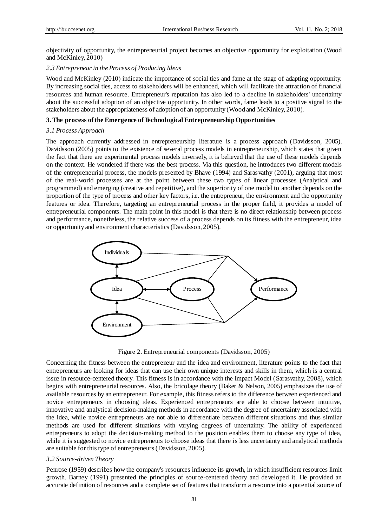objectivity of opportunity, the entrepreneurial project becomes an objective opportunity for exploitation (Wood and McKinley, 2010)

## *2.3 Entrepreneur in the Process of Producing Ideas*

Wood and McKinley (2010) indicate the importance of social ties and fame at the stage of adapting opportunity. By increasing social ties, access to stakeholders will be enhanced, which will facilitate the attraction of financial resources and human resource. Entrepreneur's reputation has also led to a decline in stakeholders' uncertainty about the successful adoption of an objective opportunity. In other words, fame leads to a positive signal to the stakeholders about the appropriateness of adoption of an opportunity (Wood and McKinley, 2010).

## **3. The process of the Emergence of Technological Entrepreneurship Opportunities**

### *3.1 Process Approach*

The approach currently addressed in entrepreneurship literature is a process approach (Davidsson, 2005). Davidsson (2005) points to the existence of several process models in entrepreneurship, which states that given the fact that there are experimental process models inversely, it is believed that the use of these models depends on the context. He wondered if there was the best process. Via this question, he introduces two different models of the entrepreneurial process, the models presented by Bhave (1994) and Sarasvathy (2001), arguing that most of the real-world processes are at the point between these two types of linear processes (Analytical and programmed) and emerging (creative and repetitive), and the superiority of one model to another depends on the proportion of the type of process and other key factors, i.e. the entrepreneur, the environment and the opportunity features or idea. Therefore, targeting an entrepreneurial process in the proper field, it provides a model of entrepreneurial components. The main point in this model is that there is no direct relationship between process and performance, nonetheless, the relative success of a process depends on its fitness with the entrepreneur, idea or opportunity and environment characteristics (Davidsson, 2005).



Figure 2. Entrepreneurial components (Davidsson, 2005)

Concerning the fitness between the entrepreneur and the idea and environment, literature points to the fact that entrepreneurs are looking for ideas that can use their own unique interests and skills in them, which is a central issue in resource-centered theory. This fitness is in accordance with the Impact Model (Sarasvathy, 2008), which begins with entrepreneurial resources. Also, the bricolage theory (Baker & Nelson, 2005) emphasizes the use of available resources by an entrepreneur. For example, this fitness refers to the difference between experienced and novice entrepreneurs in choosing ideas. Experienced entrepreneurs are able to choose between intuitive, innovative and analytical decision-making methods in accordance with the degree of uncertainty associated with the idea, while novice entrepreneurs are not able to differentiate between different situations and thus similar methods are used for different situations with varying degrees of uncertainty. The ability of experienced entrepreneurs to adopt the decision-making method to the position enables them to choose any type of idea, while it is suggested to novice entrepreneurs to choose ideas that there is less uncertainty and analytical methods are suitable for this type of entrepreneurs (Davidsson, 2005).

### *3.2 Source-driven Theory*

Penrose (1959) describes how the company's resources influence its growth, in which insufficient resources limit growth. Barney (1991) presented the principles of source-centered theory and developed it. He provided an accurate definition of resources and a complete set of features that transform a resource into a potential source of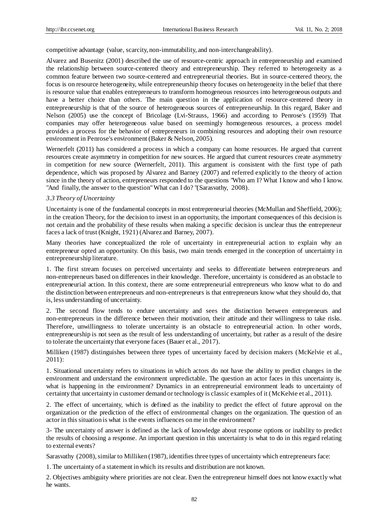competitive advantage (value, scarcity, non-immutability, and non-interchangeability).

Alvarez and Busenitz (2001) described the use of resource-centric approach in entrepreneurship and examined the relationship between source-centered theory and entrepreneurship. They referred to heterogeneity as a common feature between two source-centered and entrepreneurial theories. But in source-centered theory, the focus is on resource heterogeneity, while entrepreneurship theory focuses on heterogeneity in the belief that there is resource value that enables entrepreneurs to transform homogeneous resources into heterogeneous outputs and have a better choice than others. The main question in the application of resource-centered theory in entrepreneurship is that of the source of heterogeneous sources of entrepreneurship. In this regard, Baker and Nelson (2005) use the concept of Bricolage (Lvi-Strauss, 1966) and according to Penrose's (1959) That companies may offer heterogeneous value based on seemingly homogeneous resources, a process model provides a process for the behavior of entrepreneurs in combining resources and adopting their own resource environment in Penrose's environment (Baker & Nelson, 2005).

Wernerfelt (2011) has considered a process in which a company can home resources. He argued that current resources create asymmetry in competition for new sources. He argued that current resources create asymmetry in competition for new source (Wernerfelt, 2011). This argument is consistent with the first type of path dependence, which was proposed by Alvarez and Barney (2007) and referred explicitly to the theory of action since in the theory of action, entrepreneurs responded to the questions "Who am I? What I know and who I know. "And finally, the answer to the question" What can I do? "(Sarasvathy, 2008).

## *3.3 Theory of Uncertainty*

Uncertainty is one of the fundamental concepts in most entrepreneurial theories (McMullan and Sheffield, 2006); in the creation Theory, for the decision to invest in an opportunity, the important consequences of this decision is not certain and the probability of these results when making a specific decision is unclear thus the entrepreneur faces a lack of trust (Knight, 1921) (Alvarez and Barney, 2007).

Many theories have conceptualized the role of uncertainty in entrepreneurial action to explain why an entrepreneur opted an opportunity. On this basis, two main trends emerged in the conception of uncertainty in entrepreneurship literature.

1. The first stream focuses on perceived uncertainty and seeks to differentiate between entrepreneurs and non-entrepreneurs based on differences in their knowledge. Therefore, uncertainty is considered as an obstacle to entrepreneurial action. In this context, there are some entrepreneurial entrepreneurs who know what to do and the distinction between entrepreneurs and non-entrepreneurs is that entrepreneurs know what they should do, that is, less understanding of uncertainty.

2. The second flow tends to endure uncertainty and sees the distinction between entrepreneurs and non-entrepreneurs in the difference between their motivation, their attitude and their willingness to take risks. Therefore, unwillingness to tolerate uncertainty is an obstacle to entrepreneurial action. In other words, entrepreneurship is not seen as the result of less understanding of uncertainty, but rather as a result of the desire to tolerate the uncertainty that everyone faces (Bauer et al., 2017).

Milliken (1987) distinguishes between three types of uncertainty faced by decision makers (McKelvie et al., 2011):

1. Situational uncertainty refers to situations in which actors do not have the ability to predict changes in the environment and understand the environment unpredictable. The question an actor faces in this uncertainty is, what is happening in the environment? Dynamics in an entrepreneurial environment leads to uncertainty of certainty that uncertainty in customer demand or technology is classic examples of it (McKelvie et al., 2011).

2. The effect of uncertainty, which is defined as the inability to predict the effect of future approval on the organization or the prediction of the effect of environmental changes on the organization. The question of an actor in this situation is what is the events influences on me in the environment?

3- The uncertainty of answer is defined as the lack of knowledge about response options or inability to predict the results of choosing a response. An important question in this uncertainty is what to do in this regard relating to external events?

Sarasvathy (2008), similar to Milliken (1987), identifies three types of uncertainty which entrepreneurs face:

1. The uncertainty of a statement in which its results and distribution are not known.

2. Objectives ambiguity where priorities are not clear. Even the entrepreneur himself does not know exactly what he wants.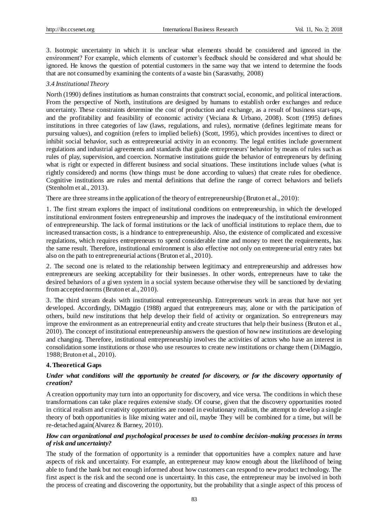3. Isotropic uncertainty in which it is unclear what elements should be considered and ignored in the environment? For example, which elements of customer's feedback should be considered and what should be ignored. He knows the question of potential customers in the same way that we intend to determine the foods that are not consumed by examining the contents of a waste bin (Sarasvathy, 2008)

## *3.4 Institutional Theory*

North (1990) defines institutions as human constraints that construct social, economic, and political interactions. From the perspective of North, institutions are designed by humans to establish order exchanges and reduce uncertainty. These constraints determine the cost of production and exchange, as a result of business start-ups, and the profitability and feasibility of economic activity (Veciana & Urbano, 2008). Scott (1995) defines institutions in three categories of law (laws, regulations, and rules), normative (defines legitimate means for pursuing values), and cognition (refers to implied beliefs) (Scott, 1995), which provides incentives to direct or inhibit social behavior, such as entrepreneurial activity in an economy. The legal entities include government regulations and industrial agreements and standards that guide entrepreneurs' behavior by means of rules such as rules of play, supervision, and coercion. Normative institutions guide the behavior of entrepreneurs by defining what is right or expected in different business and social situations. These institutions include values (what is rightly considered) and norms (how things must be done according to values) that create rules for obedience. Cognitive institutions are rules and mental definitions that define the range of correct behaviors and beliefs (Stenholm et al., 2013).

There are three streams in the application of the theory of entrepreneurship (Bruton et al., 2010):

1. The first stream explores the impact of institutional conditions on entrepreneurship, in which the developed institutional environment fosters entrepreneurship and improves the inadequacy of the institutional environment of entrepreneurship. The lack of formal institutions or the lack of unofficial institutions to replace them, due to increased transaction costs, is a hindrance to entrepreneurship. Also, the existence of complicated and excessive regulations, which requires entrepreneurs to spend considerable time and money to meet the requirements, has the same result. Therefore, institutional environment is also effective not only on entrepreneurial entry rates but also on the path to entrepreneurial actions (Bruton et al., 2010).

2. The second one is related to the relationship between legitimacy and entrepreneurship and addresses how entrepreneurs are seeking acceptability for their businesses. In other words, entrepreneurs have to take the desired behaviors of a given system in a social system because otherwise they will be sanctioned by deviating from accepted norms (Bruton et al., 2010).

3. The third stream deals with institutional entrepreneurship. Entrepreneurs work in areas that have not yet developed. Accordingly, DiMaggio (1988) argued that entrepreneurs may, alone or with the participation of others, build new institutions that help develop their field of activity or organization. So entrepreneurs may improve the environment as an entrepreneurial entity and create structures that help their business (Bruton et al., 2010). The concept of institutional entrepreneurship answers the question of how new institutions are developing and changing. Therefore, institutional entrepreneurship involves the activities of actors who have an interest in consolidation some institutions or those who use resources to create new institutions or change them (DiMaggio, 1988; Bruton et al., 2010).

# **4. Theoretical Gaps**

# *Under what conditions will the opportunity be created for discovery, or for the discovery opportunity of creation?*

A creation opportunity may turn into an opportunity for discovery, and vice versa. The conditions in which these transformations can take place requires extensive study. Of course, given that the discovery opportunities rooted in critical realism and creativity opportunities are rooted in evolutionary realism, the attempt to develop a single theory of both opportunities is like mixing water and oil, maybe They will be combined for a time, but will be re-detached again(Alvarez & Barney, 2010).

# *How can organizational and psychological processes be used to combine decision-making processes in terms of risk and uncertainty?*

The study of the formation of opportunity is a reminder that opportunities have a complex nature and have aspects of risk and uncertainty. For example, an entrepreneur may know enough about the likelihood of being able to fund the bank but not enough informed about how customers can respond to new product technology. The first aspect is the risk and the second one is uncertainty. In this case, the entrepreneur may be involved in both the process of creating and discovering the opportunity, but the probability that a single aspect of this process of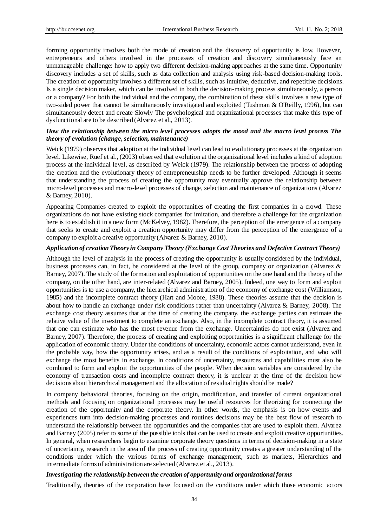forming opportunity involves both the mode of creation and the discovery of opportunity is low. However, entrepreneurs and others involved in the processes of creation and discovery simultaneously face an unmanageable challenge: how to apply two different decision-making approaches at the same time. Opportunity discovery includes a set of skills, such as data collection and analysis using risk-based decision-making tools. The creation of opportunity involves a different set of skills, such as intuitive, deductive, and repetitive decisions. Is a single decision maker, which can be involved in both the decision-making process simultaneously, a person or a company? For both the individual and the company, the combination of these skills involves a new type of two-sided power that cannot be simultaneously investigated and exploited (Tushman & O'Reilly, 1996), but can simultaneously detect and create Slowly The psychological and organizational processes that make this type of dysfunctional are to be described (Alvarez et al., 2013).

## *How the relationship between the micro level processes adopts the mood and the macro level process The theory of evolution (change, selection, maintenance)*

Weick (1979) observes that adoption at the individual level can lead to evolutionary processes at the organization level. Likewise, Ruef et al., (2003) observed that evolution at the organizational level includes a kind of adoption process at the individual level, as described by Weick (1979). The relationship between the process of adopting the creation and the evolutionary theory of entrepreneurship needs to be further developed. Although it seems that understanding the process of creating the opportunity may eventually approve the relationship between micro-level processes and macro-level processes of change, selection and maintenance of organizations (Alvarez & Barney, 2010).

Appearing Companies created to exploit the opportunities of creating the first companies in a crowd. These organizations do not have existing stock companies for imitation, and therefore a challenge for the organization here is to establish it in a new form (McKelvey, 1982). Therefore, the perception of the emergence of a company that seeks to create and exploit a creation opportunity may differ from the perception of the emergence of a company to exploit a creative opportunity (Alvarez & Barney, 2010).

## *Application of creation Theory in Company Theory (Exchange Cost Theories and Defective Contract Theory)*

Although the level of analysis in the process of creating the opportunity is usually considered by the individual, business processes can, in fact, be considered at the level of the group, company or organization (Alvarez & Barney, 2007). The study of the formation and exploitation of opportunities on the one hand and the theory of the company, on the other hand, are inter-related (Alvarez and Barney, 2005). Indeed, one way to form and exploit opportunities is to use a company, the hierarchical administration of the economy of exchange cost (Williamson, 1985) and the incomplete contract theory (Hart and Moore, 1988). These theories assume that the decision is about how to handle an exchange under risk conditions rather than uncertainty (Alvarez & Barney, 2008). The exchange cost theory assumes that at the time of creating the company, the exchange parties can estimate the relative value of the investment to complete an exchange. Also, in the incomplete contract theory, it is assumed that one can estimate who has the most revenue from the exchange. Uncertainties do not exist (Alvarez and Barney, 2007). Therefore, the process of creating and exploiting opportunities is a significant challenge for the application of economic theory. Under the conditions of uncertainty, economic actors cannot understand, even in the probable way, how the opportunity arises, and as a result of the conditions of exploitation, and who will exchange the most benefits in exchange. In conditions of uncertainty, resources and capabilities must also be combined to form and exploit the opportunities of the people. When decision variables are considered by the economy of transaction costs and incomplete contract theory, it is unclear at the time of the decision how decisions about hierarchical management and the allocation of residual rights should be made?

In company behavioral theories, focusing on the origin, modification, and transfer of current organizational methods and focusing on organizational processes may be useful resources for theorizing for connecting the creation of the opportunity and the corporate theory. In other words, the emphasis is on how events and experiences turn into decision-making processes and routines decisions may be the best flow of research to understand the relationship between the opportunities and the companies that are used to exploit them. Alvarez and Barney (2005) refer to some of the possible tools that can be used to create and exploit creative opportunities. In general, when researchers begin to examine corporate theory questions in terms of decision-making in a state of uncertainty, research in the area of the process of creating opportunity creates a greater understanding of the conditions under which the various forms of exchange management, such as markets, Hierarchies and intermediate forms of administration are selected (Alvarez et al., 2013).

### *Investigating the relationship between the creation of opportunity and organizational forms*

Traditionally, theories of the corporation have focused on the conditions under which those economic actors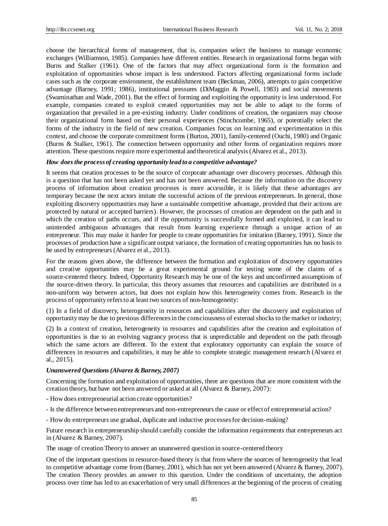choose the hierarchical forms of management, that is, companies select the business to manage economic exchanges (Williamson, 1985). Companies have different entities. Research in organizational forms began with Burns and Stalker (1961). One of the factors that may affect organizational form is the formation and exploitation of opportunities whose impact is less understood. Factors affecting organizational forms include cases such as the corporate environment, the establishment team (Beckman, 2006), attempts to gain competitive advantage (Barney, 1991; 1986), institutional pressures (DiMaggio & Powell, 1983) and social movements (Swaminathan and Wade, 2001). But the effect of forming and exploiting the opportunity is less understood. For example, companies created to exploit created opportunities may not be able to adapt to the forms of organization that prevailed in a pre-existing industry. Under conditions of creation, the organizers may choose their organizational form based on their personal experiences (Stinchcombe, 1965), or potentially select the forms of the industry in the field of new creation. Companies focus on learning and experimentation in this context, and choose the corporate commitment forms (Burton, 2001), family-centered (Ouchi, 1980) and Organic (Burns & Stalker, 1961). The connection between opportunity and other forms of organization requires more attention. These questions require more experimental and theoretical analysis (Alvarez et al., 2013).

### *How does the process of creating opportunity lead to a competitive advantage?*

It seems that creation processes to be the source of corporate advantage over discovery processes. Although this is a question that has not been asked yet and has not been answered. Because the information on the discovery process of information about creation processes is more accessible, it is likely that these advantages are temporary because the next actors imitate the successful actions of the previous entrepreneurs. In general, those exploiting discovery opportunities may have a sustainable competitive advantage, provided that their actions are protected by natural or accepted barriers). However, the processes of creation are dependent on the path and in which the creation of paths occurs, and if the opportunity is successfully formed and exploited, it can lead to unintended ambiguous advantages that result from learning experience through a unique action of an entrepreneur. This may make it harder for people to create opportunities for imitation (Barney, 1991). Since the processes of production have a significant output variance, the formation of creating opportunities has no basis to be used by entrepreneurs (Alvarez et al., 2013).

For the reasons given above, the difference between the formation and exploitation of discovery opportunities and creative opportunities may be a great experimental ground for testing some of the claims of a source-centered theory. Indeed, Opportunity Research may be one of the keys and unconfirmed assumptions of the source-driven theory. In particular, this theory assumes that resources and capabilities are distributed in a non-uniform way between actors, but does not explain how this heterogeneity comes from. Research in the process of opportunity refers to at least two sources of non-homogeneity:

(1) In a field of discovery, heterogeneity in resources and capabilities after the discovery and exploitation of opportunity may be due to previous differences in the consciousness of external shocks to the market or industry;

(2) In a context of creation, heterogeneity in resources and capabilities after the creation and exploitation of opportunities is due to an evolving vagrancy process that is unpredictable and dependent on the path through which the same actors are different. To the extent that exploratory opportunity can explain the source of differences in resources and capabilities, it may be able to complete strategic management research (Alvarez et al., 2015).

## *Unanswered Questions (Alvarez & Barney, 2007)*

Concerning the formation and exploitation of opportunities, there are questions that are more consistent with the creation theory, but have not been answered or asked at all (Alvarez & Barney, 2007):

- How does entrepreneurial action create opportunities?
- Is the difference between entrepreneurs and non-entrepreneurs the cause or effect of entrepreneurial action?
- How do entrepreneurs use gradual, duplicate and inductive processes for decision-making?

Future research in entrepreneurship should carefully consider the information requirements that entrepreneurs act in (Alvarez & Barney, 2007).

The usage of creation Theory to answer an unanswered question in source-centered theory

One of the important questions in resource-based theory is that from where the sources of heterogeneity that lead to competitive advantage come from (Barney, 2001), which has not yet been answered (Alvarez & Barney, 2007). The creation Theory provides an answer to this question. Under the conditions of uncertainty, the adoption process over time has led to an exacerbation of very small differences at the beginning of the process of creating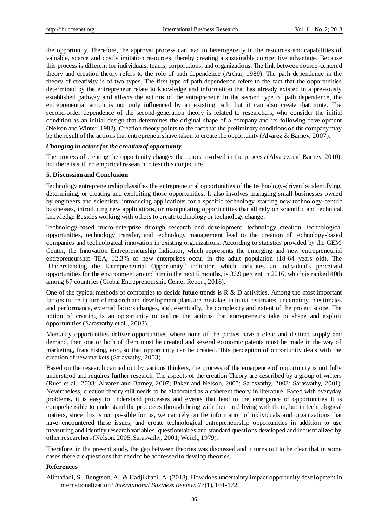the opportunity. Therefore, the approval process can lead to heterogeneity in the resources and capabilities of valuable, scarce and costly imitation resources, thereby creating a sustainable competitive advantage. Because this process is different for individuals, teams, corporations, and organizations. The link between source-centered theory and creation theory refers to the role of path dependence (Arthur, 1989). The path dependence in the theory of creativity is of two types. The first type of path dependence refers to the fact that the opportunities determined by the entrepreneur relate to knowledge and information that has already existed in a previously established pathway and affects the actions of the entrepreneur. In the second type of path dependence, the entrepreneurial action is not only influenced by an existing path, but it can also create that route. The second-order dependence of the second-generation theory is related to researchers, who consider the initial condition as an initial design that determines the original shape of a company and its following development (Nelson and Winter, 1982). Creation theory points to the fact that the preliminary conditions of the company may be the result of the actions that entrepreneurs have taken to create the opportunity (Alvarez & Barney, 2007).

## *Changing in actors for the creation of opportunity*

The process of creating the opportunity changes the actors involved in the process (Alvarez and Barney, 2010), but there is still no empirical research to test this conjecture.

## **5. Discussion and Conclusion**

Technology entrepreneurship classifies the entrepreneurial opportunities of the technology-driven by identifying, determining, or creating and exploiting those opportunities. It also involves managing small businesses owned by engineers and scientists, introducing applications for a specific technology, starting new technology-centric businesses, introducing new applications, or manipulating opportunities that all rely on scientific and technical knowledge Besides working with others to create technology or technology change.

Technology-based micro-enterprise through research and development, technology creation, technological opportunities, technology transfer, and technology management lead to the creation of technology-based companies and technological innovation in existing organizations. According to statistics provided by the GEM Center, the Innovation Entrepreneurship Indicator, which represents the emerging and new entrepreneurial entrepreneurship TEA, 12.3% of new enterprises occur in the adult population (18-64 years old). The "Understanding the Entrepreneurial Opportunity" indicator, which indicates an individual's perceived opportunities for the environment around him in the next 6 months, is 36.9 percent in 2016, which is ranked 40th among 67 countries (Global Entrepreneurship Center Report, 2016).

One of the typical methods of companies to decide future trends is  $R \& D$  activities. Among the most important factors in the failure of research and development plans are mistakes in initial estimates, uncertainty in estimates and performance, external factors changes, and, eventually, the complexity and extent of the project scope. The notion of creating is an opportunity to outline the actions that entrepreneurs take to shape and exploit opportunities (Sarasvathy et al., 2003).

Mentality opportunities deliver opportunities where none of the parties have a clear and distinct supply and demand, then one or both of them must be created and several economic patents must be made in the way of marketing, franchising, etc., so that opportunity can be created. This perception of opportunity deals with the creation of new markets (Sarasvathy, 2003).

Based on the research carried out by various thinkers, the process of the emergence of opportunity is not fully understood and requires further research. The aspects of the creation Theory are described by a group of writers (Ruef et al., 2003; Alvarez and Barney, 2007; Baker and Nelson, 2005; Sarasvathy, 2003; Sarasvathy, 2001). Nevertheless, creation theory still needs to be elaborated as a coherent theory in literature. Faced with everyday problems, it is easy to understand processes and events that lead to the emergence of opportunities It is comprehensible to understand the processes through being with them and living with them, but in technological matters, since this is not possible for us, we can rely on the information of individuals and organizations that have encountered these issues, and create technological entrepreneurship opportunities in addition to use measuring and identify research variables, questionnaires and standard questions developed and industrialized by other researchers (Nelson, 2005; Sarasvathy, 2001;Weick, 1979).

Therefore, in the present study, the gap between theories was discussed and it turns out to be clear that in some cases there are questions that need to be addressed to develop theories.

## **References**

Alimadadi, S., Bengtson, A., & Hadjikhani, A. (2018). How does uncertainty impact opportunity development in internationalization? *International Business Review*, *27*(1), 161-172.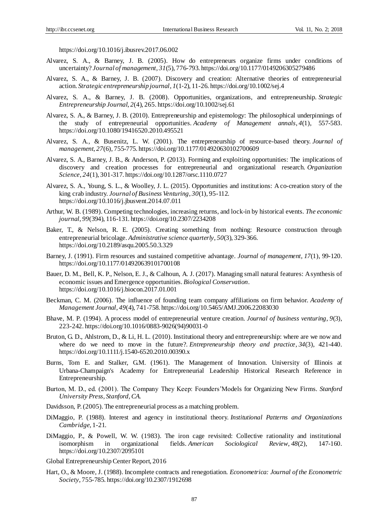https://doi.org/10.1016/j.ibusrev.2017.06.002

- Alvarez, S. A., & Barney, J. B. (2005). How do entrepreneurs organize firms under conditions of uncertainty? *Journal of management*, *31*(5), 776-793. https://doi.org/10.1177/0149206305279486
- Alvarez, S. A., & Barney, J. B. (2007). Discovery and creation: Alternative theories of entrepreneurial action. *Strategic entrepreneurship journal*, *1*(1‐2), 11-26. https://doi.org/10.1002/sej.4
- Alvarez, S. A., & Barney, J. B. (2008). Opportunities, organizations, and entrepreneurship. *Strategic Entrepreneurship Journal*, *2*(4), 265. https://doi.org/10.1002/sej.61
- Alvarez, S. A., & Barney, J. B. (2010). Entrepreneurship and epistemology: The philosophical underpinnings of the study of entrepreneurial opportunities. *Academy of Management annals*, *4*(1), 557-583. https://doi.org/10.1080/19416520.2010.495521
- Alvarez, S. A., & Busenitz, L. W. (2001). The entrepreneurship of resource-based theory. *Journal of management*, *27*(6), 755-775. https://doi.org/10.1177/014920630102700609
- Alvarez, S. A., Barney, J. B., & Anderson, P. (2013). Forming and exploiting opportunities: The implications of discovery and creation processes for entrepreneurial and organizational research. *Organization Science*, *24*(1), 301-317. https://doi.org/10.1287/orsc.1110.0727
- Alvarez, S. A., Young, S. L., & Woolley, J. L. (2015). Opportunities and institutions: A co-creation story of the king crab industry. *Journal of Business Venturing*, *30*(1), 95-112. https://doi.org/10.1016/j.jbusvent.2014.07.011
- Arthur, W. B. (1989). Competing technologies, increasing returns, and lock-in by historical events. *The economic journal*, *99*(394), 116-131. https://doi.org/10.2307/2234208
- Baker, T., & Nelson, R. E. (2005). Creating something from nothing: Resource construction through entrepreneurial bricolage. *Administrative science quarterly*, *50*(3), 329-366. https://doi.org/10.2189/asqu.2005.50.3.329
- Barney, J. (1991). Firm resources and sustained competitive advantage. *Journal of management*, *17*(1), 99-120. https://doi.org/10.1177/014920639101700108
- Bauer, D. M., Bell, K. P., Nelson, E. J., & Calhoun, A. J. (2017). Managing small natural features: A synthesis of economic issues and Emergence opportunities. *Biological Conservation*. https://doi.org/10.1016/j.biocon.2017.01.001
- Beckman, C. M. (2006). The influence of founding team company affiliations on firm behavior. *Academy of Management Journal*, *49*(4), 741-758. https://doi.org/10.5465/AMJ.2006.22083030
- Bhave, M. P. (1994). A process model of entrepreneurial venture creation. *Journal of business venturing*, *9*(3), 223-242. https://doi.org/10.1016/0883-9026(94)90031-0
- Bruton, G. D., Ahlstrom, D., & Li, H. L. (2010). Institutional theory and entrepreneurship: where are we now and where do we need to move in the future?. *Entrepreneurship theory and practice*,  $34(3)$ ,  $421-440$ . https://doi.org/10.1111/j.1540-6520.2010.00390.x
- Burns, Tom E. and Stalker, G.M. (1961). The Management of Innovation. University of Illinois at Urbana-Champaign's Academy for Entrepreneurial Leadership Historical Research Reference in Entrepreneurship.
- Burton, M. D., ed. (2001). The Company They Keep: Founders'Models for Organizing New Firms. *Stanford University Press, Stanford, CA.*
- Davidsson, P. (2005). The entrepreneurial process as a matching problem.
- DiMaggio, P. (1988). Interest and agency in institutional theory. *Institutional Patterns and Organizations Cambridge*, 1-21.
- DiMaggio, P., & Powell, W. W. (1983). The iron cage revisited: Collective rationality and institutional isomorphism in organizational fields. *American Sociological Review*, *48*(2), 147-160. https://doi.org/10.2307/2095101
- Global Entrepreneurship Center Report, 2016
- Hart, O., & Moore, J. (1988). Incomplete contracts and renegotiation. *Econometrica: Journal of the Econometric Society*, 755-785. https://doi.org/10.2307/1912698